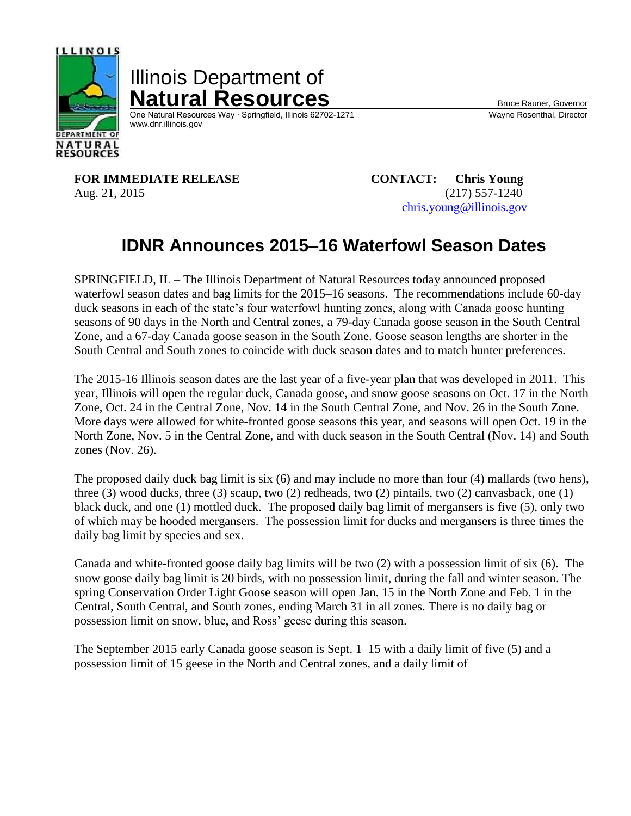

Illinois Department of **Natural Resources**<br>
One Natural Resources Way · Springfield, Illinois 62702-1271 Wayne Rosenthal, Director

One Natural Resources Way ⋅ Springfield, Illinois 62702-1271 [www.dnr.illinois.gov](http://www.dnr.illinois.gov/)

**FOR IMMEDIATE RELEASE CONTACT: Chris Young** Aug. 21, 2015 (217) 557-1240

[chris.young@illinois.gov](mailto:chris.young@illinois.gov)

# **IDNR Announces 2015–16 Waterfowl Season Dates**

SPRINGFIELD, IL – The Illinois Department of Natural Resources today announced proposed waterfowl season dates and bag limits for the 2015–16 seasons. The recommendations include 60-day duck seasons in each of the state's four waterfowl hunting zones, along with Canada goose hunting seasons of 90 days in the North and Central zones, a 79-day Canada goose season in the South Central Zone, and a 67-day Canada goose season in the South Zone. Goose season lengths are shorter in the South Central and South zones to coincide with duck season dates and to match hunter preferences.

The 2015-16 Illinois season dates are the last year of a five-year plan that was developed in 2011. This year, Illinois will open the regular duck, Canada goose, and snow goose seasons on Oct. 17 in the North Zone, Oct. 24 in the Central Zone, Nov. 14 in the South Central Zone, and Nov. 26 in the South Zone. More days were allowed for white-fronted goose seasons this year, and seasons will open Oct. 19 in the North Zone, Nov. 5 in the Central Zone, and with duck season in the South Central (Nov. 14) and South zones (Nov. 26).

The proposed daily duck bag limit is six (6) and may include no more than four (4) mallards (two hens), three (3) wood ducks, three (3) scaup, two (2) redheads, two (2) pintails, two (2) canvasback, one (1) black duck, and one (1) mottled duck. The proposed daily bag limit of mergansers is five (5), only two of which may be hooded mergansers. The possession limit for ducks and mergansers is three times the daily bag limit by species and sex.

Canada and white-fronted goose daily bag limits will be two (2) with a possession limit of six (6). The snow goose daily bag limit is 20 birds, with no possession limit, during the fall and winter season. The spring Conservation Order Light Goose season will open Jan. 15 in the North Zone and Feb. 1 in the Central, South Central, and South zones, ending March 31 in all zones. There is no daily bag or possession limit on snow, blue, and Ross' geese during this season.

The September 2015 early Canada goose season is Sept. 1–15 with a daily limit of five (5) and a possession limit of 15 geese in the North and Central zones, and a daily limit of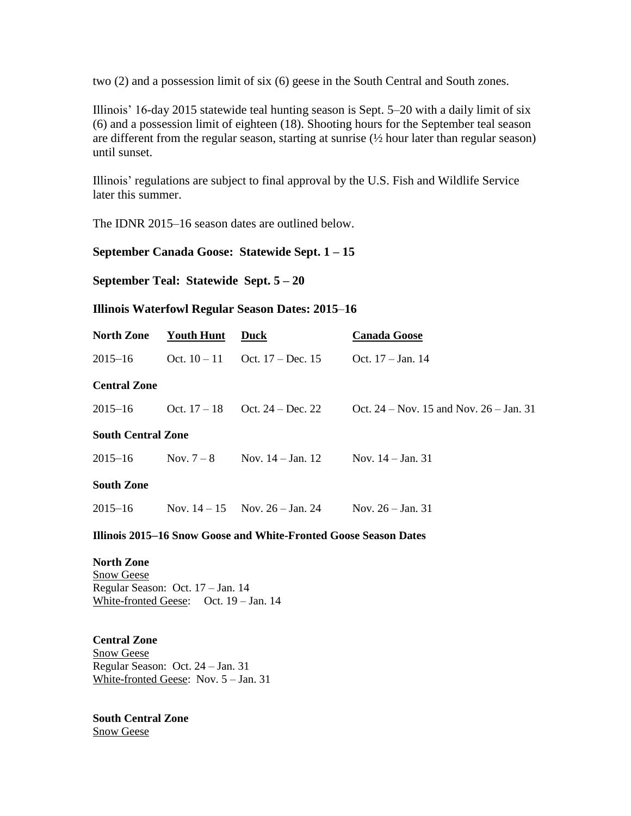two (2) and a possession limit of six (6) geese in the South Central and South zones.

Illinois' 16-day 2015 statewide teal hunting season is Sept. 5–20 with a daily limit of six (6) and a possession limit of eighteen (18). Shooting hours for the September teal season are different from the regular season, starting at sunrise  $(\frac{1}{2})$  hour later than regular season) until sunset.

Illinois' regulations are subject to final approval by the U.S. Fish and Wildlife Service later this summer.

The IDNR 2015–16 season dates are outlined below.

## **September Canada Goose: Statewide Sept. 1 – 15**

**September Teal: Statewide Sept. 5 – 20**

#### **Illinois Waterfowl Regular Season Dates: 2015**–**16**

| <b>North Zone</b>         | Youth Hunt   | Duck                               | <b>Canada Goose</b>                         |
|---------------------------|--------------|------------------------------------|---------------------------------------------|
| $2015 - 16$               |              | Oct. $10-11$ Oct. $17 - Dec. 15$   | Oct. $17 - Jan. 14$                         |
| <b>Central Zone</b>       |              |                                    |                                             |
| $2015 - 16$               |              | Oct. $17-18$ Oct. $24 - Dec. 22$   | Oct. $24 - Nov. 15$ and Nov. $26 - Jan. 31$ |
| <b>South Central Zone</b> |              |                                    |                                             |
| $2015 - 16$               | Nov. $7 - 8$ | Nov. $14 - Jan. 12$                | Nov. $14 - Jan. 31$                         |
| <b>South Zone</b>         |              |                                    |                                             |
| $2015 - 16$               |              | Nov. $14 - 15$ Nov. $26 -$ Jan. 24 | Nov. $26 - Jan. 31$                         |
|                           |              |                                    |                                             |

### **Illinois 2015–16 Snow Goose and White-Fronted Goose Season Dates**

**North Zone** Snow Geese Regular Season: Oct. 17 – Jan. 14 White-fronted Geese: Oct. 19 – Jan. 14

**Central Zone** Snow Geese Regular Season: Oct. 24 – Jan. 31 White-fronted Geese: Nov. 5 – Jan. 31

#### **South Central Zone** Snow Geese